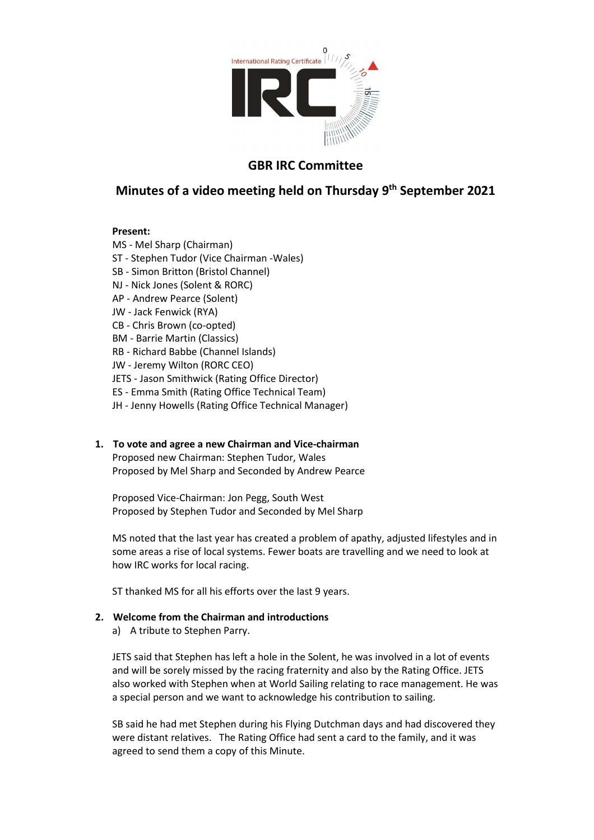

# **GBR IRC Committee**

# **Minutes of a video meeting held on Thursday 9th September 2021**

## **Present:**

MS - Mel Sharp (Chairman)

- ST Stephen Tudor (Vice Chairman -Wales)
- SB Simon Britton (Bristol Channel)
- NJ Nick Jones (Solent & RORC)
- AP Andrew Pearce (Solent)
- JW Jack Fenwick (RYA)
- CB Chris Brown (co-opted)
- BM Barrie Martin (Classics)
- RB Richard Babbe (Channel Islands)
- JW Jeremy Wilton (RORC CEO)
- JETS Jason Smithwick (Rating Office Director)
- ES Emma Smith (Rating Office Technical Team)
- JH Jenny Howells (Rating Office Technical Manager)

# **1. To vote and agree a new Chairman and Vice-chairman**

Proposed new Chairman: Stephen Tudor, Wales Proposed by Mel Sharp and Seconded by Andrew Pearce

Proposed Vice-Chairman: Jon Pegg, South West Proposed by Stephen Tudor and Seconded by Mel Sharp

MS noted that the last year has created a problem of apathy, adjusted lifestyles and in some areas a rise of local systems. Fewer boats are travelling and we need to look at how IRC works for local racing.

ST thanked MS for all his efforts over the last 9 years.

### **2. Welcome from the Chairman and introductions**

a) A tribute to Stephen Parry.

JETS said that Stephen has left a hole in the Solent, he was involved in a lot of events and will be sorely missed by the racing fraternity and also by the Rating Office. JETS also worked with Stephen when at World Sailing relating to race management. He was a special person and we want to acknowledge his contribution to sailing.

SB said he had met Stephen during his Flying Dutchman days and had discovered they were distant relatives. The Rating Office had sent a card to the family, and it was agreed to send them a copy of this Minute.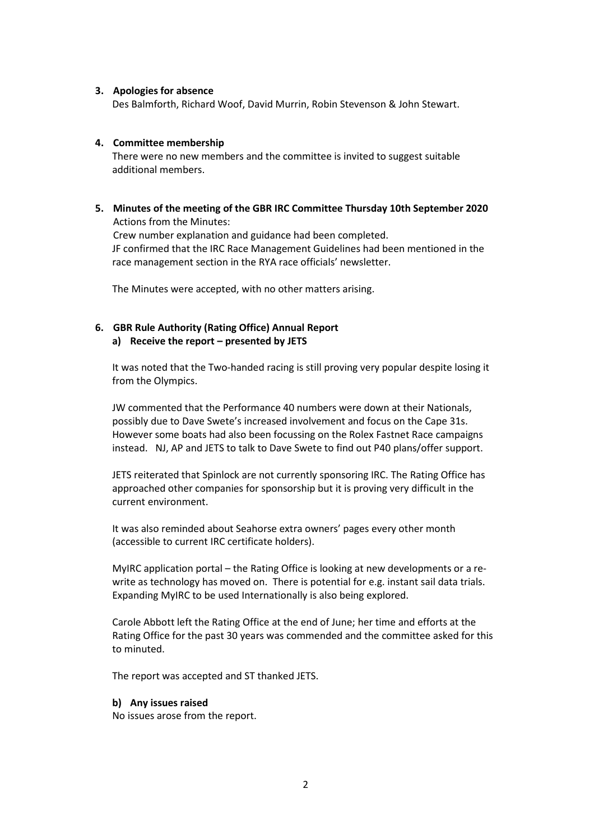### **3. Apologies for absence**

Des Balmforth, Richard Woof, David Murrin, Robin Stevenson & John Stewart.

### **4. Committee membership**

There were no new members and the committee is invited to suggest suitable additional members.

**5. Minutes of the meeting of the GBR IRC Committee Thursday 10th September 2020**  Actions from the Minutes: Crew number explanation and guidance had been completed. JF confirmed that the IRC Race Management Guidelines had been mentioned in the race management section in the RYA race officials' newsletter.

The Minutes were accepted, with no other matters arising.

### **6. GBR Rule Authority (Rating Office) Annual Report a) Receive the report – presented by JETS**

It was noted that the Two-handed racing is still proving very popular despite losing it from the Olympics.

JW commented that the Performance 40 numbers were down at their Nationals, possibly due to Dave Swete's increased involvement and focus on the Cape 31s. However some boats had also been focussing on the Rolex Fastnet Race campaigns instead. NJ, AP and JETS to talk to Dave Swete to find out P40 plans/offer support.

JETS reiterated that Spinlock are not currently sponsoring IRC. The Rating Office has approached other companies for sponsorship but it is proving very difficult in the current environment.

It was also reminded about Seahorse extra owners' pages every other month (accessible to current IRC certificate holders).

MyIRC application portal – the Rating Office is looking at new developments or a rewrite as technology has moved on. There is potential for e.g. instant sail data trials. Expanding MyIRC to be used Internationally is also being explored.

Carole Abbott left the Rating Office at the end of June; her time and efforts at the Rating Office for the past 30 years was commended and the committee asked for this to minuted.

The report was accepted and ST thanked JETS.

### **b) Any issues raised**

No issues arose from the report.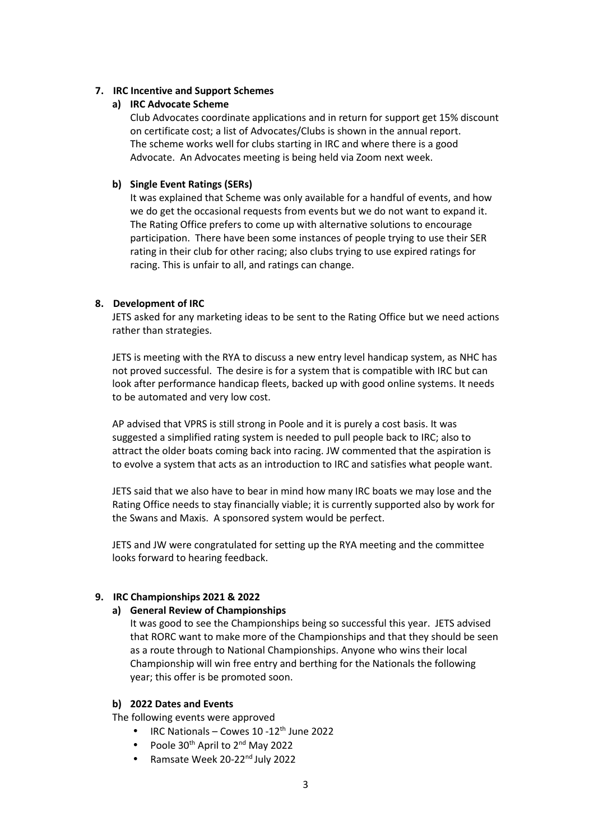### **7. IRC Incentive and Support Schemes**

### **a) IRC Advocate Scheme**

Club Advocates coordinate applications and in return for support get 15% discount on certificate cost; a list of Advocates/Clubs is shown in the annual report. The scheme works well for clubs starting in IRC and where there is a good Advocate. An Advocates meeting is being held via Zoom next week.

## **b) Single Event Ratings (SERs)**

It was explained that Scheme was only available for a handful of events, and how we do get the occasional requests from events but we do not want to expand it. The Rating Office prefers to come up with alternative solutions to encourage participation. There have been some instances of people trying to use their SER rating in their club for other racing; also clubs trying to use expired ratings for racing. This is unfair to all, and ratings can change.

### **8. Development of IRC**

JETS asked for any marketing ideas to be sent to the Rating Office but we need actions rather than strategies.

JETS is meeting with the RYA to discuss a new entry level handicap system, as NHC has not proved successful. The desire is for a system that is compatible with IRC but can look after performance handicap fleets, backed up with good online systems. It needs to be automated and very low cost.

AP advised that VPRS is still strong in Poole and it is purely a cost basis. It was suggested a simplified rating system is needed to pull people back to IRC; also to attract the older boats coming back into racing. JW commented that the aspiration is to evolve a system that acts as an introduction to IRC and satisfies what people want.

JETS said that we also have to bear in mind how many IRC boats we may lose and the Rating Office needs to stay financially viable; it is currently supported also by work for the Swans and Maxis. A sponsored system would be perfect.

JETS and JW were congratulated for setting up the RYA meeting and the committee looks forward to hearing feedback.

# **9. IRC Championships 2021 & 2022**

### **a) General Review of Championships**

It was good to see the Championships being so successful this year. JETS advised that RORC want to make more of the Championships and that they should be seen as a route through to National Championships. Anyone who wins their local Championship will win free entry and berthing for the Nationals the following year; this offer is be promoted soon.

### **b) 2022 Dates and Events**

The following events were approved

- IRC Nationals Cowes  $10 12$ <sup>th</sup> June 2022
- Poole  $30<sup>th</sup>$  April to  $2<sup>nd</sup>$  May 2022
- Ramsate Week 20-22<sup>nd</sup> July 2022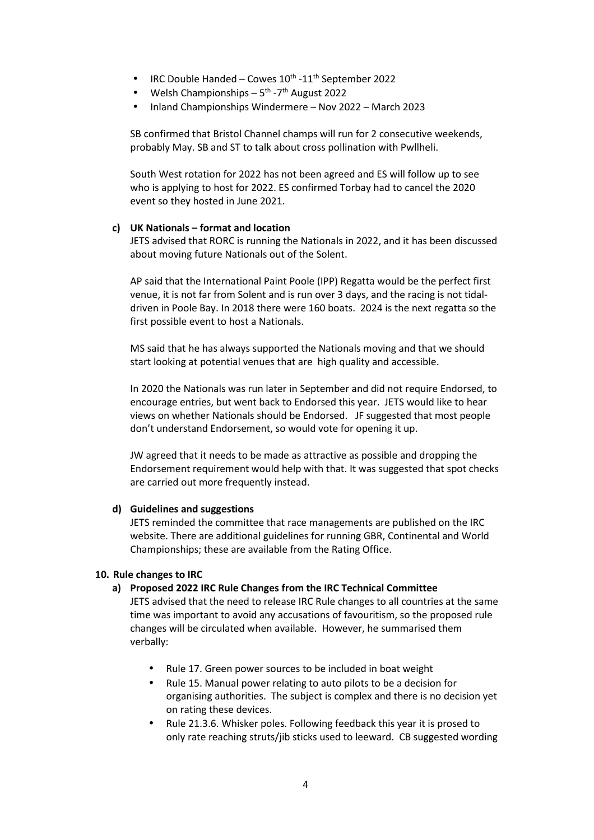- IRC Double Handed Cowes  $10^{th}$  - $11^{th}$  September 2022
- Welsh Championships  $5^{th}$  -7<sup>th</sup> August 2022
- Inland Championships Windermere Nov 2022 March 2023

SB confirmed that Bristol Channel champs will run for 2 consecutive weekends, probably May. SB and ST to talk about cross pollination with Pwllheli.

South West rotation for 2022 has not been agreed and ES will follow up to see who is applying to host for 2022. ES confirmed Torbay had to cancel the 2020 event so they hosted in June 2021.

### **c) UK Nationals – format and location**

JETS advised that RORC is running the Nationals in 2022, and it has been discussed about moving future Nationals out of the Solent.

AP said that the International Paint Poole (IPP) Regatta would be the perfect first venue, it is not far from Solent and is run over 3 days, and the racing is not tidaldriven in Poole Bay. In 2018 there were 160 boats. 2024 is the next regatta so the first possible event to host a Nationals.

MS said that he has always supported the Nationals moving and that we should start looking at potential venues that are high quality and accessible.

In 2020 the Nationals was run later in September and did not require Endorsed, to encourage entries, but went back to Endorsed this year. JETS would like to hear views on whether Nationals should be Endorsed. JF suggested that most people don't understand Endorsement, so would vote for opening it up.

JW agreed that it needs to be made as attractive as possible and dropping the Endorsement requirement would help with that. It was suggested that spot checks are carried out more frequently instead.

#### **d) Guidelines and suggestions**

JETS reminded the committee that race managements are published on the IRC website. There are additional guidelines for running GBR, Continental and World Championships; these are available from the Rating Office.

### **10. Rule changes to IRC**

### **a) Proposed 2022 IRC Rule Changes from the IRC Technical Committee**

JETS advised that the need to release IRC Rule changes to all countries at the same time was important to avoid any accusations of favouritism, so the proposed rule changes will be circulated when available. However, he summarised them verbally:

- Rule 17. Green power sources to be included in boat weight
- Rule 15. Manual power relating to auto pilots to be a decision for organising authorities. The subject is complex and there is no decision yet on rating these devices.
- Rule 21.3.6. Whisker poles. Following feedback this year it is prosed to only rate reaching struts/jib sticks used to leeward. CB suggested wording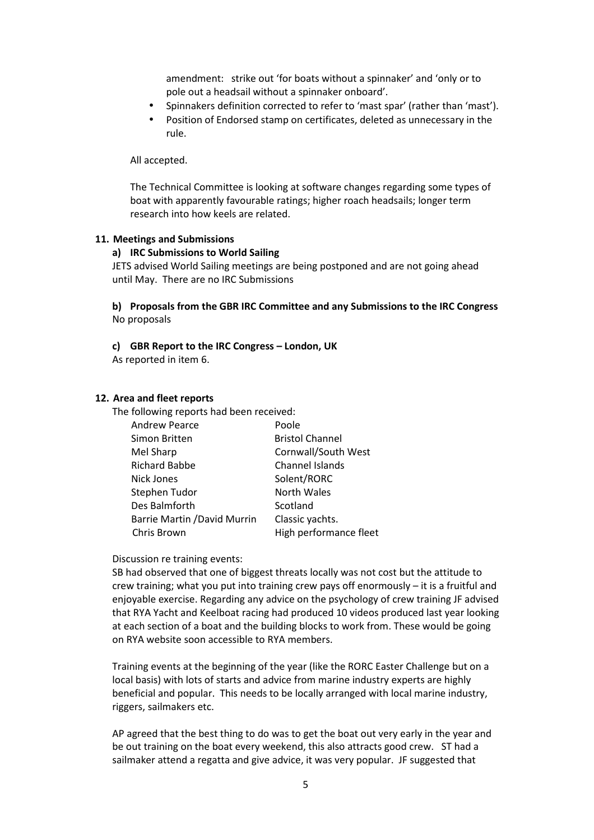amendment: strike out 'for boats without a spinnaker' and 'only or to pole out a headsail without a spinnaker onboard'.

- Spinnakers definition corrected to refer to 'mast spar' (rather than 'mast').
- Position of Endorsed stamp on certificates, deleted as unnecessary in the rule.

All accepted.

The Technical Committee is looking at software changes regarding some types of boat with apparently favourable ratings; higher roach headsails; longer term research into how keels are related.

#### **11. Meetings and Submissions**

#### **a) IRC Submissions to World Sailing**

JETS advised World Sailing meetings are being postponed and are not going ahead until May. There are no IRC Submissions

**b) Proposals from the GBR IRC Committee and any Submissions to the IRC Congress**  No proposals

**c) GBR Report to the IRC Congress – London, UK** 

As reported in item 6.

#### **12. Area and fleet reports**

The following reports had been received:

| <b>Andrew Pearce</b>                | Poole                  |
|-------------------------------------|------------------------|
| Simon Britten                       | <b>Bristol Channel</b> |
| Mel Sharp                           | Cornwall/South West    |
| <b>Richard Babbe</b>                | Channel Islands        |
| <b>Nick Jones</b>                   | Solent/RORC            |
| Stephen Tudor                       | North Wales            |
| Des Balmforth                       | Scotland               |
| <b>Barrie Martin / David Murrin</b> | Classic yachts.        |
| Chris Brown                         | High performance fleet |

Discussion re training events:

SB had observed that one of biggest threats locally was not cost but the attitude to crew training; what you put into training crew pays off enormously – it is a fruitful and enjoyable exercise. Regarding any advice on the psychology of crew training JF advised that RYA Yacht and Keelboat racing had produced 10 videos produced last year looking at each section of a boat and the building blocks to work from. These would be going on RYA website soon accessible to RYA members.

Training events at the beginning of the year (like the RORC Easter Challenge but on a local basis) with lots of starts and advice from marine industry experts are highly beneficial and popular. This needs to be locally arranged with local marine industry, riggers, sailmakers etc.

AP agreed that the best thing to do was to get the boat out very early in the year and be out training on the boat every weekend, this also attracts good crew. ST had a sailmaker attend a regatta and give advice, it was very popular. JF suggested that